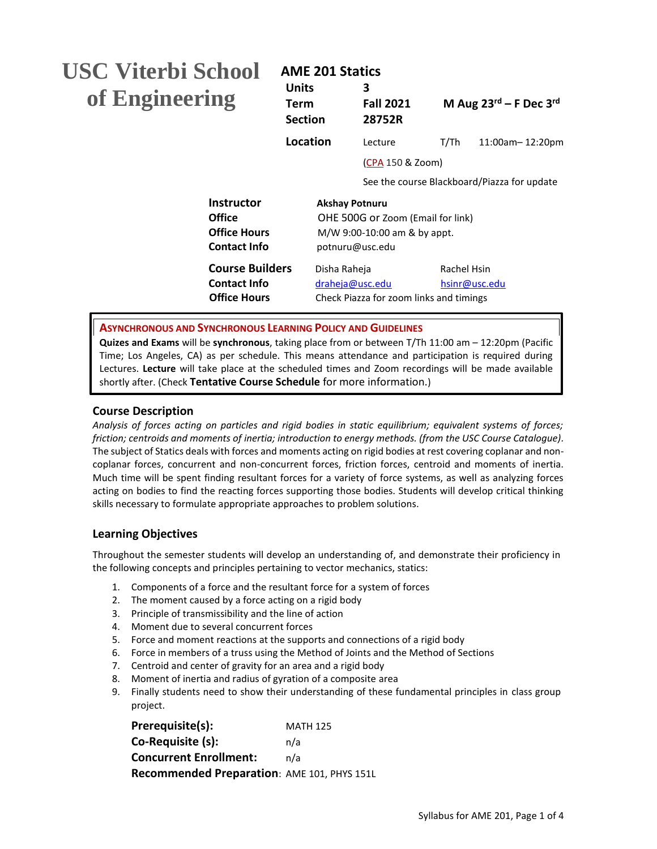# **USC Viterbi School of Engineering**

# **AME 201 Statics**

| -VILULIJI DUHUVJI<br>of Engineering                                              | <b>Units</b><br>Term<br><b>Section</b> | 3<br><b>Fall 2021</b><br>28752R                                                                               |             | M Aug $23^{\text{rd}}$ – F Dec $3^{\text{rd}}$ |
|----------------------------------------------------------------------------------|----------------------------------------|---------------------------------------------------------------------------------------------------------------|-------------|------------------------------------------------|
|                                                                                  | Location                               | Lecture                                                                                                       | T/Th        | 11:00am-12:20pm                                |
|                                                                                  |                                        | (CPA 150 & Zoom)                                                                                              |             |                                                |
|                                                                                  |                                        |                                                                                                               |             | See the course Blackboard/Piazza for update    |
| <b>Instructor</b><br><b>Office</b><br><b>Office Hours</b><br><b>Contact Info</b> |                                        | <b>Akshay Potnuru</b><br>OHE 500G or Zoom (Email for link)<br>M/W 9:00-10:00 am & by appt.<br>potnuru@usc.edu |             |                                                |
| <b>Course Builders</b><br><b>Contact Info</b><br><b>Office Hours</b>             | Disha Raheja                           | draheja@usc.edu<br>Check Piazza for zoom links and timings                                                    | Rachel Hsin | hsinr@usc.edu                                  |

**ASYNCHRONOUS AND SYNCHRONOUS LEARNING POLICY AND GUIDELINES**

**Quizes and Exams** will be **synchronous**, taking place from or between T/Th 11:00 am – 12:20pm (Pacific Time; Los Angeles, CA) as per schedule. This means attendance and participation is required during Lectures. **Lecture** will take place at the scheduled times and Zoom recordings will be made available shortly after. (Check **Tentative Course Schedule** for more information.)

# **Course Description**

*Analysis of forces acting on particles and rigid bodies in static equilibrium; equivalent systems of forces; friction; centroids and moments of inertia; introduction to energy methods. (from the USC Course Catalogue).* The subject of Statics deals with forces and moments acting on rigid bodies at rest covering coplanar and noncoplanar forces, concurrent and non-concurrent forces, friction forces, centroid and moments of inertia. Much time will be spent finding resultant forces for a variety of force systems, as well as analyzing forces acting on bodies to find the reacting forces supporting those bodies. Students will develop critical thinking skills necessary to formulate appropriate approaches to problem solutions.

# **Learning Objectives**

Throughout the semester students will develop an understanding of, and demonstrate their proficiency in the following concepts and principles pertaining to vector mechanics, statics:

- 1. Components of a force and the resultant force for a system of forces
- 2. The moment caused by a force acting on a rigid body
- 3. Principle of transmissibility and the line of action
- 4. Moment due to several concurrent forces
- 5. Force and moment reactions at the supports and connections of a rigid body
- 6. Force in members of a truss using the Method of Joints and the Method of Sections
- 7. Centroid and center of gravity for an area and a rigid body
- 8. Moment of inertia and radius of gyration of a composite area
- 9. Finally students need to show their understanding of these fundamental principles in class group project.

| <b>MATH 125</b>                             |
|---------------------------------------------|
| n/a                                         |
| n/a                                         |
| Recommended Preparation: AME 101, PHYS 151L |
|                                             |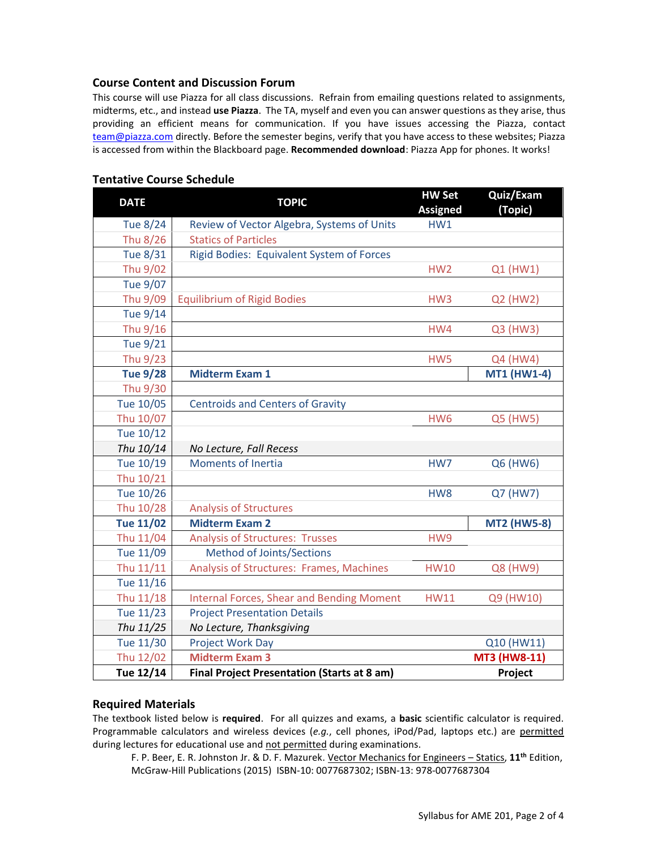### **Course Content and Discussion Forum**

This course will use Piazza for all class discussions. Refrain from emailing questions related to assignments, midterms, etc., and instead **use Piazza**. The TA, myself and even you can answer questions as they arise, thus providing an efficient means for communication. If you have issues accessing the Piazza, contact [team@piazza.com](mailto:team@piazza.com) directly. Before the semester begins, verify that you have access to these websites; Piazza is accessed from within the Blackboard page. **Recommended download**: Piazza App for phones. It works!

| <b>DATE</b>      | <b>TOPIC</b>                                       | <b>HW Set</b><br><b>Assigned</b> | Quiz/Exam<br>(Topic) |
|------------------|----------------------------------------------------|----------------------------------|----------------------|
| <b>Tue 8/24</b>  | Review of Vector Algebra, Systems of Units         | HW1                              |                      |
| Thu 8/26         | <b>Statics of Particles</b>                        |                                  |                      |
| <b>Tue 8/31</b>  | Rigid Bodies: Equivalent System of Forces          |                                  |                      |
| Thu 9/02         |                                                    | HW <sub>2</sub>                  | Q1 (HW1)             |
| <b>Tue 9/07</b>  |                                                    |                                  |                      |
| Thu 9/09         | <b>Equilibrium of Rigid Bodies</b>                 | HW <sub>3</sub>                  | Q2 (HW2)             |
| Tue 9/14         |                                                    |                                  |                      |
| Thu 9/16         |                                                    | HW4                              | Q3 (HW3)             |
| <b>Tue 9/21</b>  |                                                    |                                  |                      |
| Thu 9/23         |                                                    | HW5                              | Q4 (HW4)             |
| <b>Tue 9/28</b>  | <b>Midterm Exam 1</b>                              |                                  | <b>MT1 (HW1-4)</b>   |
| Thu 9/30         |                                                    |                                  |                      |
| Tue 10/05        | <b>Centroids and Centers of Gravity</b>            |                                  |                      |
| Thu 10/07        |                                                    | HW <sub>6</sub>                  | Q5 (HW5)             |
| Tue 10/12        |                                                    |                                  |                      |
| Thu 10/14        | No Lecture, Fall Recess                            |                                  |                      |
| Tue 10/19        | <b>Moments of Inertia</b>                          | HW7                              | Q6 (HW6)             |
| Thu 10/21        |                                                    |                                  |                      |
| Tue 10/26        |                                                    | HW8                              | Q7 (HW7)             |
| Thu 10/28        | <b>Analysis of Structures</b>                      |                                  |                      |
| <b>Tue 11/02</b> | <b>Midterm Exam 2</b>                              |                                  | <b>MT2 (HW5-8)</b>   |
| Thu 11/04        | <b>Analysis of Structures: Trusses</b>             | HW9                              |                      |
| Tue 11/09        | Method of Joints/Sections                          |                                  |                      |
| Thu 11/11        | Analysis of Structures: Frames, Machines           | <b>HW10</b>                      | Q8 (HW9)             |
| Tue 11/16        |                                                    |                                  |                      |
| Thu 11/18        | <b>Internal Forces, Shear and Bending Moment</b>   | <b>HW11</b>                      | Q9 (HW10)            |
| Tue 11/23        | <b>Project Presentation Details</b>                |                                  |                      |
| Thu 11/25        | No Lecture, Thanksgiving                           |                                  |                      |
| Tue 11/30        | <b>Project Work Day</b>                            |                                  | Q10 (HW11)           |
| Thu 12/02        | <b>Midterm Exam 3</b>                              |                                  | MT3 (HW8-11)         |
| Tue 12/14        | <b>Final Project Presentation (Starts at 8 am)</b> |                                  | Project              |

#### **Tentative Course Schedule**

#### **Required Materials**

The textbook listed below is **required**. For all quizzes and exams, a **basic** scientific calculator is required. Programmable calculators and wireless devices (*e.g.*, cell phones, iPod/Pad, laptops etc.) are permitted during lectures for educational use and not permitted during examinations.

F. P. Beer, E. R. Johnston Jr. & D. F. Mazurek. Vector Mechanics for Engineers – Statics, **11th** Edition, McGraw-Hill Publications (2015) ISBN-10: 0077687302; ISBN-13: 978-0077687304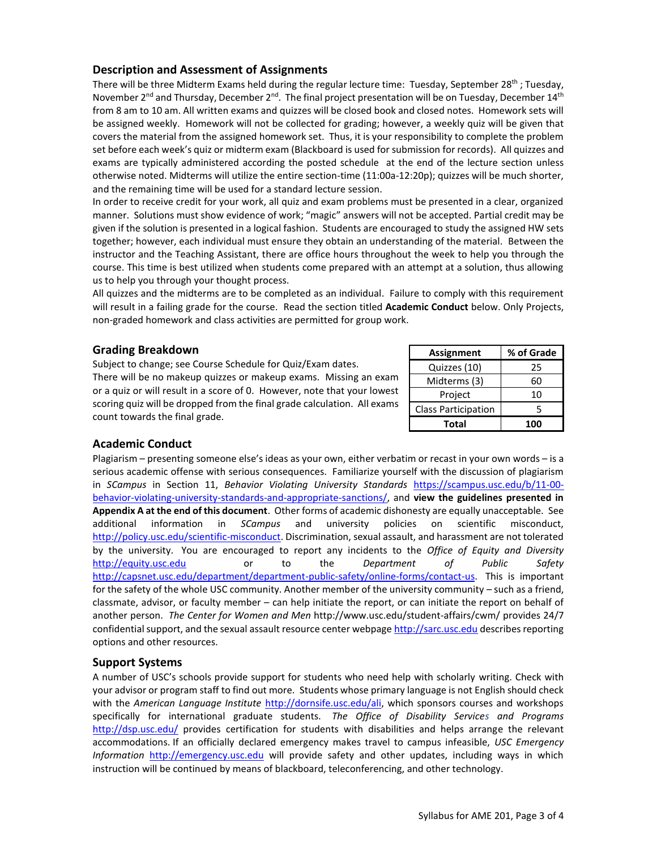# **Description and Assessment of Assignments**

There will be three Midterm Exams held during the regular lecture time: Tuesday, September 28<sup>th</sup> ; Tuesday, November 2<sup>nd</sup> and Thursday, December 2<sup>nd</sup>. The final project presentation will be on Tuesday, December 14<sup>th</sup> from 8 am to 10 am. All written exams and quizzes will be closed book and closed notes. Homework sets will be assigned weekly. Homework will not be collected for grading; however, a weekly quiz will be given that covers the material from the assigned homework set. Thus, it is your responsibility to complete the problem set before each week's quiz or midterm exam (Blackboard is used for submission for records). All quizzes and exams are typically administered according the posted schedule at the end of the lecture section unless otherwise noted. Midterms will utilize the entire section-time (11:00a-12:20p); quizzes will be much shorter, and the remaining time will be used for a standard lecture session.

In order to receive credit for your work, all quiz and exam problems must be presented in a clear, organized manner. Solutions must show evidence of work; "magic" answers will not be accepted. Partial credit may be given if the solution is presented in a logical fashion. Students are encouraged to study the assigned HW sets together; however, each individual must ensure they obtain an understanding of the material. Between the instructor and the Teaching Assistant, there are office hours throughout the week to help you through the course. This time is best utilized when students come prepared with an attempt at a solution, thus allowing us to help you through your thought process.

All quizzes and the midterms are to be completed as an individual. Failure to comply with this requirement will result in a failing grade for the course. Read the section titled **Academic Conduct** below. Only Projects, non-graded homework and class activities are permitted for group work.

# **Grading Breakdown**

Subject to change; see Course Schedule for Quiz/Exam dates. There will be no makeup quizzes or makeup exams. Missing an exam or a quiz or will result in a score of 0. However, note that your lowest scoring quiz will be dropped from the final grade calculation. All exams count towards the final grade.

| <b>Assignment</b>          | % of Grade |  |
|----------------------------|------------|--|
| Quizzes (10)               | 25         |  |
| Midterms (3)               | 60         |  |
| Project                    | 10         |  |
| <b>Class Participation</b> | 5          |  |
| Total                      | 100        |  |

# **Academic Conduct**

Plagiarism – presenting someone else's ideas as your own, either verbatim or recast in your own words – is a serious academic offense with serious consequences. Familiarize yourself with the discussion of plagiarism in *SCampus* in Section 11, *Behavior Violating University Standards* [https://scampus.usc.edu/b/11-00](https://scampus.usc.edu/b/11-00-behavior-violating-university-standards-and-appropriate-sanctions/) [behavior-violating-university-standards-and-appropriate-sanctions/,](https://scampus.usc.edu/b/11-00-behavior-violating-university-standards-and-appropriate-sanctions/) and **view the guidelines presented in Appendix A at the end of this document**. Other forms of academic dishonesty are equally unacceptable. See additional information in *SCampus* and university policies on scientific misconduct, [http://policy.usc.edu/scientific-misconduct.](http://policy.usc.edu/scientific-misconduct/) Discrimination, sexual assault, and harassment are not tolerated by the university. You are encouraged to report any incidents to the *Office of Equity and Diversity* [http://equity.usc.edu](http://equity.usc.edu/) or to the *Department of Public Safety* [http://capsnet.usc.edu/department/department-public-safety/online-forms/contact-us.](http://capsnet.usc.edu/department/department-public-safety/online-forms/contact-us) This is important for the safety of the whole USC community. Another member of the university community – such as a friend, classmate, advisor, or faculty member – can help initiate the report, or can initiate the report on behalf of another person. *The Center for Women and Men* http://www.usc.edu/student-affairs/cwm/ provides 24/7 confidential support, and the sexual assault resource center webpag[e http://sarc.usc.edu](http://sarc.usc.edu/) describes reporting options and other resources.

# **Support Systems**

A number of USC's schools provide support for students who need help with scholarly writing. Check with your advisor or program staff to find out more. Students whose primary language is not English should check with the *American Language Institute* [http://dornsife.usc.edu/ali,](http://dornsife.usc.edu/ali) which sponsors courses and workshops specifically for international graduate students. *The Office of Disability Services and Programs* <http://dsp.usc.edu/> provides certification for students with disabilities and helps arrange the relevant accommodations. If an officially declared emergency makes travel to campus infeasible, *USC Emergency Information* [http://emergency.usc.edu](http://emergency.usc.edu/) will provide safety and other updates, including ways in which instruction will be continued by means of blackboard, teleconferencing, and other technology.